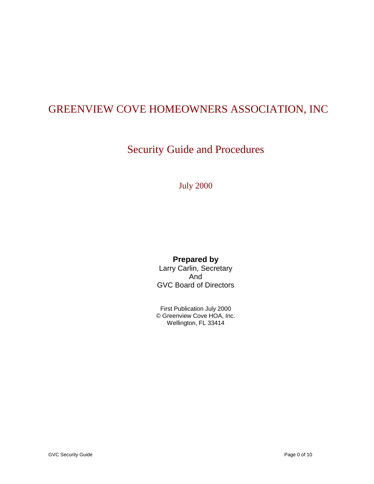#### GREENVIEW COVE HOMEOWNERS ASSOCIATION, INC

#### Security Guide and Procedures

July 2000

#### **Prepared by**

Larry Carlin, Secretary And GVC Board of Directors

First Publication July 2000 © Greenview Cove HOA, Inc. Wellington, FL 33414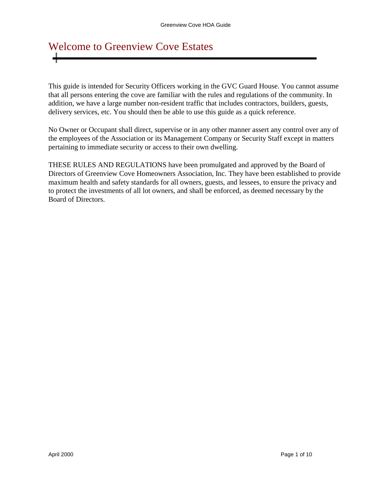# Welcome to Greenview Cove Estates

This guide is intended for Security Officers working in the GVC Guard House. You cannot assume that all persons entering the cove are familiar with the rules and regulations of the community. In addition, we have a large number non-resident traffic that includes contractors, builders, guests, delivery services, etc. You should then be able to use this guide as a quick reference.

No Owner or Occupant shall direct, supervise or in any other manner assert any control over any of the employees of the Association or its Management Company or Security Staff except in matters pertaining to immediate security or access to their own dwelling.

THESE RULES AND REGULATIONS have been promulgated and approved by the Board of Directors of Greenview Cove Homeowners Association, Inc. They have been established to provide maximum health and safety standards for all owners, guests, and lessees, to ensure the privacy and to protect the investments of all lot owners, and shall be enforced, as deemed necessary by the Board of Directors.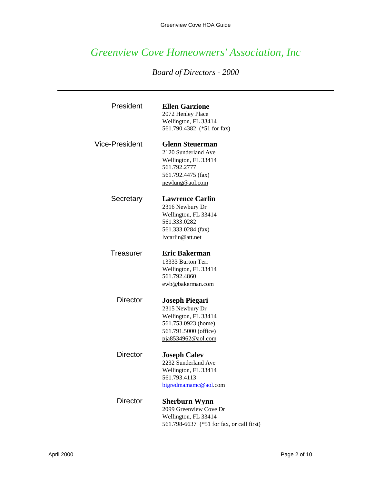#### *Greenview Cove Homeowners' Association, Inc*

#### *Board of Directors - 2000*

| President             | <b>Ellen Garzione</b><br>2072 Henley Place<br>Wellington, FL 33414<br>561.790.4382 (*51 for fax)                                       |
|-----------------------|----------------------------------------------------------------------------------------------------------------------------------------|
| <b>Vice-President</b> | <b>Glenn Steuerman</b><br>2120 Sunderland Ave<br>Wellington, FL 33414<br>561.792.2777<br>561.792.4475 (fax)<br>newlung@aol.com         |
| Secretary             | <b>Lawrence Carlin</b><br>2316 Newbury Dr<br>Wellington, FL 33414<br>561.333.0282<br>561.333.0284 (fax)<br>lvcarlin@att.net            |
| Treasurer             | <b>Eric Bakerman</b><br>13333 Burton Terr<br>Wellington, FL 33414<br>561.792.4860<br>ewb@bakerman.com                                  |
| <b>Director</b>       | <b>Joseph Piegari</b><br>2315 Newbury Dr<br>Wellington, FL 33414<br>561.753.0923 (home)<br>561.791.5000 (office)<br>pja8534962@aol.com |
| <b>Director</b>       | <b>Joseph Calev</b><br>2232 Sunderland Ave<br>Wellington, FL 33414<br>561.793.4113<br>bigredmamamc@aol.com                             |
| <b>Director</b>       | <b>Sherburn Wynn</b><br>2099 Greenview Cove Dr<br>Wellington, FL 33414<br>561.798-6637 (*51 for fax, or call first)                    |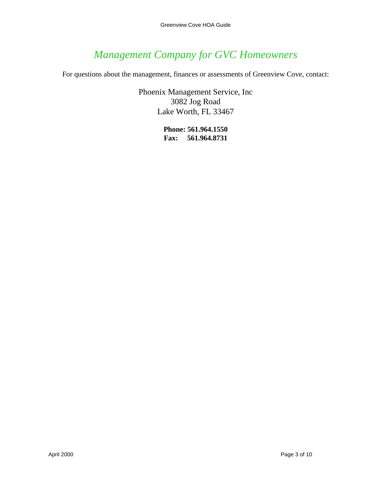#### *Management Company for GVC Homeowners*

For questions about the management, finances or assessments of Greenview Cove, contact:

Phoenix Management Service, Inc 3082 Jog Road Lake Worth, FL 33467

> **Phone: 561.964.1550 Fax: 561.964.8731**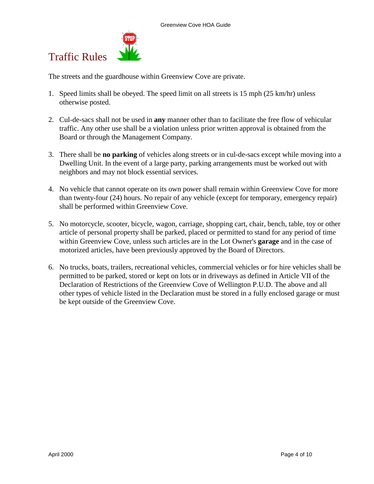

Traffic Rules

The streets and the guardhouse within Greenview Cove are private.

- 1. Speed limits shall be obeyed. The speed limit on all streets is 15 mph (25 km/hr) unless otherwise posted.
- 2. Cul-de-sacs shall not be used in **any** manner other than to facilitate the free flow of vehicular traffic. Any other use shall be a violation unless prior written approval is obtained from the Board or through the Management Company.
- 3. There shall be **no parking** of vehicles along streets or in cul-de-sacs except while moving into a Dwelling Unit. In the event of a large party, parking arrangements must be worked out with neighbors and may not block essential services.
- 4. No vehicle that cannot operate on its own power shall remain within Greenview Cove for more than twenty-four (24) hours. No repair of any vehicle (except for temporary, emergency repair) shall be performed within Greenview Cove.
- 5. No motorcycle, scooter, bicycle, wagon, carriage, shopping cart, chair, bench, table, toy or other article of personal property shall be parked, placed or permitted to stand for any period of time within Greenview Cove, unless such articles are in the Lot Owner's **garage** and in the case of motorized articles, have been previously approved by the Board of Directors.
- 6. No trucks, boats, trailers, recreational vehicles, commercial vehicles or for hire vehicles shall be permitted to be parked, stored or kept on lots or in driveways as defined in Article VII of the Declaration of Restrictions of the Greenview Cove of Wellington P.U.D. The above and all other types of vehicle listed in the Declaration must be stored in a fully enclosed garage or must be kept outside of the Greenview Cove.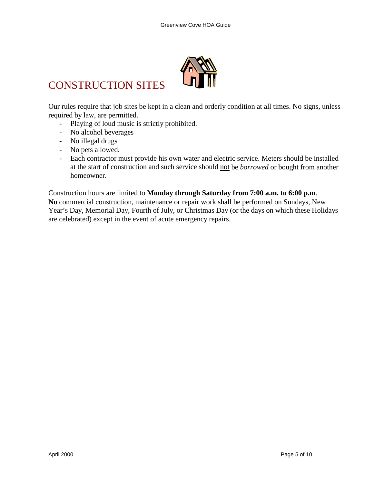

#### CONSTRUCTION SITES

Our rules require that job sites be kept in a clean and orderly condition at all times. No signs, unless required by law, are permitted.

- Playing of loud music is strictly prohibited.
- No alcohol beverages
- No illegal drugs
- No pets allowed.
- Each contractor must provide his own water and electric service. Meters should be installed at the start of construction and such service should not be *borrowed* or bought from another homeowner.

Construction hours are limited to **Monday through Saturday from 7:00 a.m. to 6:00 p.m**. **No** commercial construction, maintenance or repair work shall be performed on Sundays, New Year's Day, Memorial Day, Fourth of July, or Christmas Day (or the days on which these Holidays are celebrated) except in the event of acute emergency repairs.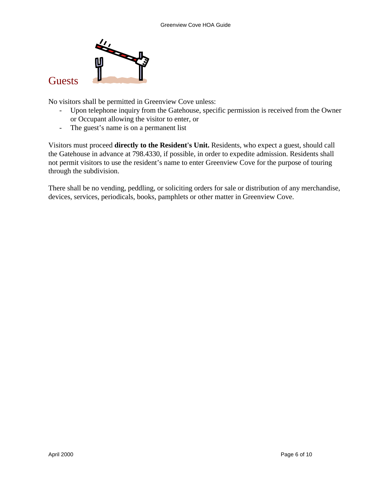

**Guests** 

No visitors shall be permitted in Greenview Cove unless:

- Upon telephone inquiry from the Gatehouse, specific permission is received from the Owner or Occupant allowing the visitor to enter, or
- The guest's name is on a permanent list

Visitors must proceed **directly to the Resident's Unit.** Residents, who expect a guest, should call the Gatehouse in advance at 798.4330, if possible, in order to expedite admission. Residents shall not permit visitors to use the resident's name to enter Greenview Cove for the purpose of touring through the subdivision.

There shall be no vending, peddling, or soliciting orders for sale or distribution of any merchandise, devices, services, periodicals, books, pamphlets or other matter in Greenview Cove.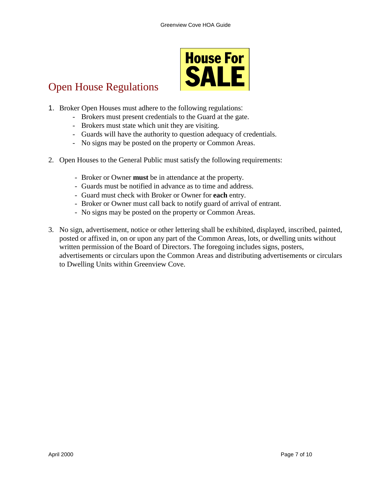

#### Open House Regulations

- 1. Broker Open Houses must adhere to the following regulations:
	- Brokers must present credentials to the Guard at the gate.
	- Brokers must state which unit they are visiting.
	- Guards will have the authority to question adequacy of credentials.
	- No signs may be posted on the property or Common Areas.
- 2. Open Houses to the General Public must satisfy the following requirements:
	- Broker or Owner **must** be in attendance at the property.
	- Guards must be notified in advance as to time and address.
	- Guard must check with Broker or Owner for **each** entry.
	- Broker or Owner must call back to notify guard of arrival of entrant.
	- No signs may be posted on the property or Common Areas.
- 3. No sign, advertisement, notice or other lettering shall be exhibited, displayed, inscribed, painted, posted or affixed in, on or upon any part of the Common Areas, lots, or dwelling units without written permission of the Board of Directors. The foregoing includes signs, posters, advertisements or circulars upon the Common Areas and distributing advertisements or circulars to Dwelling Units within Greenview Cove.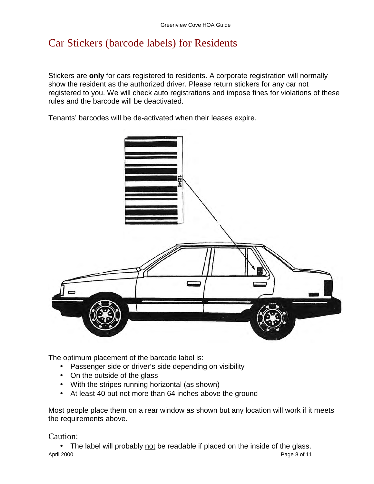#### Car Stickers (barcode labels) for Residents

Stickers are **only** for cars registered to residents. A corporate registration will normally show the resident as the authorized driver. Please return stickers for any car not registered to you. We will check auto registrations and impose fines for violations of these rules and the barcode will be deactivated.

Tenants' barcodes will be de-activated when their leases expire.



The optimum placement of the barcode label is:

- Passenger side or driver's side depending on visibility
- On the outside of the glass
- With the stripes running horizontal (as shown)
- At least 40 but not more than 64 inches above the ground

Most people place them on a rear window as shown but any location will work if it meets the requirements above.

Caution:

April 2000 Page 8 of 11 • The label will probably not be readable if placed on the inside of the glass.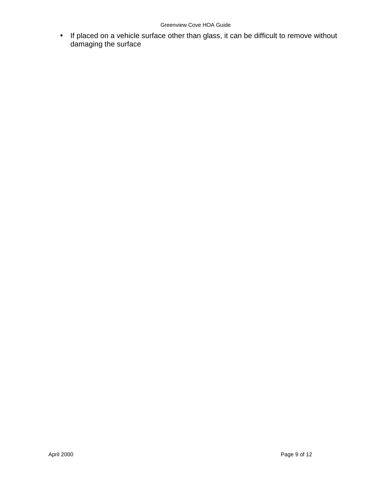#### Greenview Cove HOA Guide

• If placed on a vehicle surface other than glass, it can be difficult to remove without damaging the surface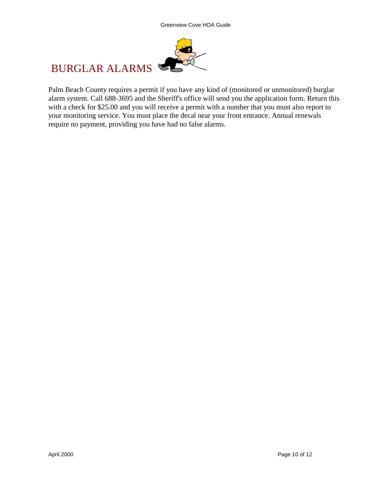

# BURGLAR ALARMS

Palm Beach County requires a permit if you have any kind of (monitored or unmonitored) burglar alarm system. Call 688-3695 and the Sheriff's office will send you the application form. Return this with a check for \$25.00 and you will receive a permit with a number that you must also report to your monitoring service. You must place the decal near your front entrance. Annual renewals require no payment, providing you have had no false alarms.